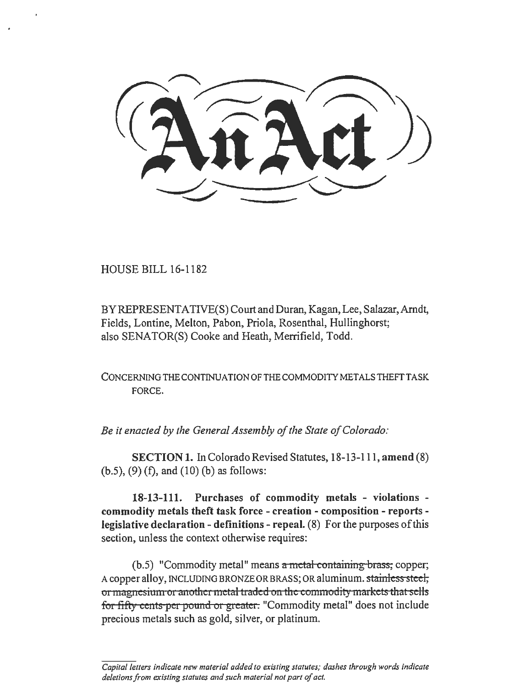HOUSE BILL 16-1182

BY REPRESENT ATIVE(S) Court and Duran, Kagan, Lee, Salazar, Arndt, Fields, Lontine, Melton, Pabon, Priola, Rosenthal, Hullinghorst; also SENATOR(S) Cooke and Heath, Merrifield, Todd.

CONCERNING THE CONTINUATION OF THE COMMODITY METALS THEFT TASK FORCE.

*Be it enacted by the General Assembly of the State of Colorado:* 

SECTION 1. In Colorado Revised Statutes, 18-13-111, amend (8) (b.5), (9) (f), and (10) (b) as follows:

18-13-111. Purchases of commodity metals - violations commodity metals theft task force - creation - composition - reports legislative declaration - definitions - repeal. (8) For the purposes of this section, unless the context otherwise requires:

 $(b.5)$  "Commodity metal" means a metal containing brass; copper; A copper alloy, INCLUDING BRONZE OR BRASS; OR aluminum. stainless steel, or magnesium or another metal traded on the commodity markets that sells for fifty cents per pound or greater. "Commodity metal" does not include precious metals such as gold, silver, or platinum.

*Capital letters indicate new material added to existing statutes; dashes through words indicate deletions from existing statutes and such material not part of act.*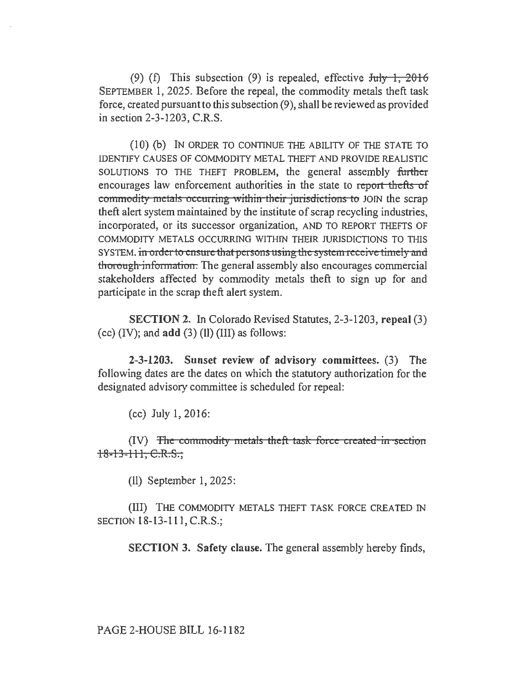(9) (f) This subsection (9) is repealed, effective  $J_{\text{ul}} + 2016$ SEPTEMBER 1, 2025. Before the repeal, the commodity metals theft task force, created pursuant to this subsection (9), shall be reviewed as provided in section 2-3-1203, C.R.S.

(10) (b) IN ORDER TO CONTINUE THE ABILITY OF THE STATE TO IDENTIFY CAUSES OF COMMODITY METAL THEFT AND PROVIDE REALISTIC SOLUTIONS TO THE THEFT PROBLEM, the general assembly further encourages law enforcement authorities in the state to report thefts of commodity metals occurring within their jurisdictions to JOIN the scrap theft alert system maintained by the institute of scrap recycling industries, incorporated, or its successor organization, AND TO REPORT THEFTS OF COMMODITY METALS OCCURRING WITHIN THEIR JURISDICTIONS TO THIS SYSTEM. in order to ensure that persons using the system receive timely and thorough information. The general assembly also encourages commercial stakeholders affected by commodity metals theft to sign up for and participate in the scrap theft alert system.

SECTION 2. In Colorado Revised Statutes, 2-3-1203, repeal (3) (cc)  $(IV)$ ; and add  $(3)$   $(II)$   $(III)$  as follows:

2-3-1203. Sunset review of advisory committees. (3) The following dates are the dates on which the statutory authorization for the designated advisory committee is scheduled for repeal:

(cc) July 1, 2016:

(IV) The commodity metals theft task force created in section 18-13-111, C.R.S.,

(11) September 1, 2025:

(Ill) THE COMMODITY METALS THEFT TASK FORCE CREA TED IN SECTION 18-13-111, C.R.S.;

SECTION 3. Safety clause. The general assembly hereby finds,